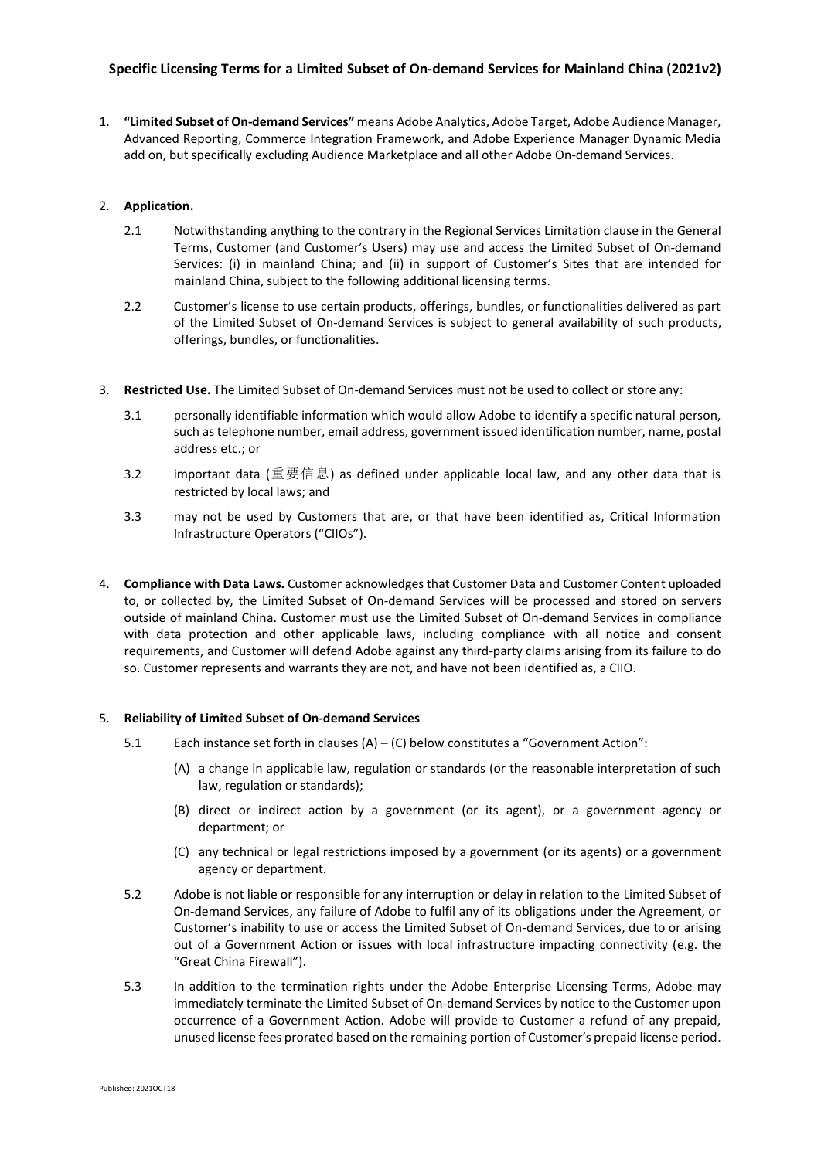## **Specific Licensing Terms for a Limited Subset of On-demand Services for Mainland China (2021v2)**

1. **"Limited Subset of On-demand Services"** means Adobe Analytics, Adobe Target, Adobe Audience Manager, Advanced Reporting, Commerce Integration Framework, and Adobe Experience Manager Dynamic Media add on, but specifically excluding Audience Marketplace and all other Adobe On-demand Services.

## 2. **Application.**

- 2.1 Notwithstanding anything to the contrary in the Regional Services Limitation clause in the General Terms, Customer (and Customer's Users) may use and access the Limited Subset of On-demand Services: (i) in mainland China; and (ii) in support of Customer's Sites that are intended for mainland China, subject to the following additional licensing terms.
- 2.2 Customer's license to use certain products, offerings, bundles, or functionalities delivered as part of the Limited Subset of On-demand Services is subject to general availability of such products, offerings, bundles, or functionalities.
- 3. **Restricted Use.** The Limited Subset of On-demand Services must not be used to collect or store any:
	- 3.1 personally identifiable information which would allow Adobe to identify a specific natural person, such as telephone number, email address, government issued identification number, name, postal address etc.; or
	- 3.2 important data (重要信息) as defined under applicable local law, and any other data that is restricted by local laws; and
	- 3.3 may not be used by Customers that are, or that have been identified as, Critical Information Infrastructure Operators ("CIIOs").
- 4. **Compliance with Data Laws.** Customer acknowledges that Customer Data and Customer Content uploaded to, or collected by, the Limited Subset of On-demand Services will be processed and stored on servers outside of mainland China. Customer must use the Limited Subset of On-demand Services in compliance with data protection and other applicable laws, including compliance with all notice and consent requirements, and Customer will defend Adobe against any third-party claims arising from its failure to do so. Customer represents and warrants they are not, and have not been identified as, a CIIO.

### 5. **Reliability of Limited Subset of On-demand Services**

- 5.1 Each instance set forth in clauses (A) (C) below constitutes a "Government Action":
	- (A) a change in applicable law, regulation or standards (or the reasonable interpretation of such law, regulation or standards);
	- (B) direct or indirect action by a government (or its agent), or a government agency or department; or
	- (C) any technical or legal restrictions imposed by a government (or its agents) or a government agency or department.
- 5.2 Adobe is not liable or responsible for any interruption or delay in relation to the Limited Subset of On-demand Services, any failure of Adobe to fulfil any of its obligations under the Agreement, or Customer's inability to use or access the Limited Subset of On-demand Services, due to or arising out of a Government Action or issues with local infrastructure impacting connectivity (e.g. the "Great China Firewall").
- 5.3 In addition to the termination rights under the Adobe Enterprise Licensing Terms, Adobe may immediately terminate the Limited Subset of On-demand Services by notice to the Customer upon occurrence of a Government Action. Adobe will provide to Customer a refund of any prepaid, unused license fees prorated based on the remaining portion of Customer's prepaid license period.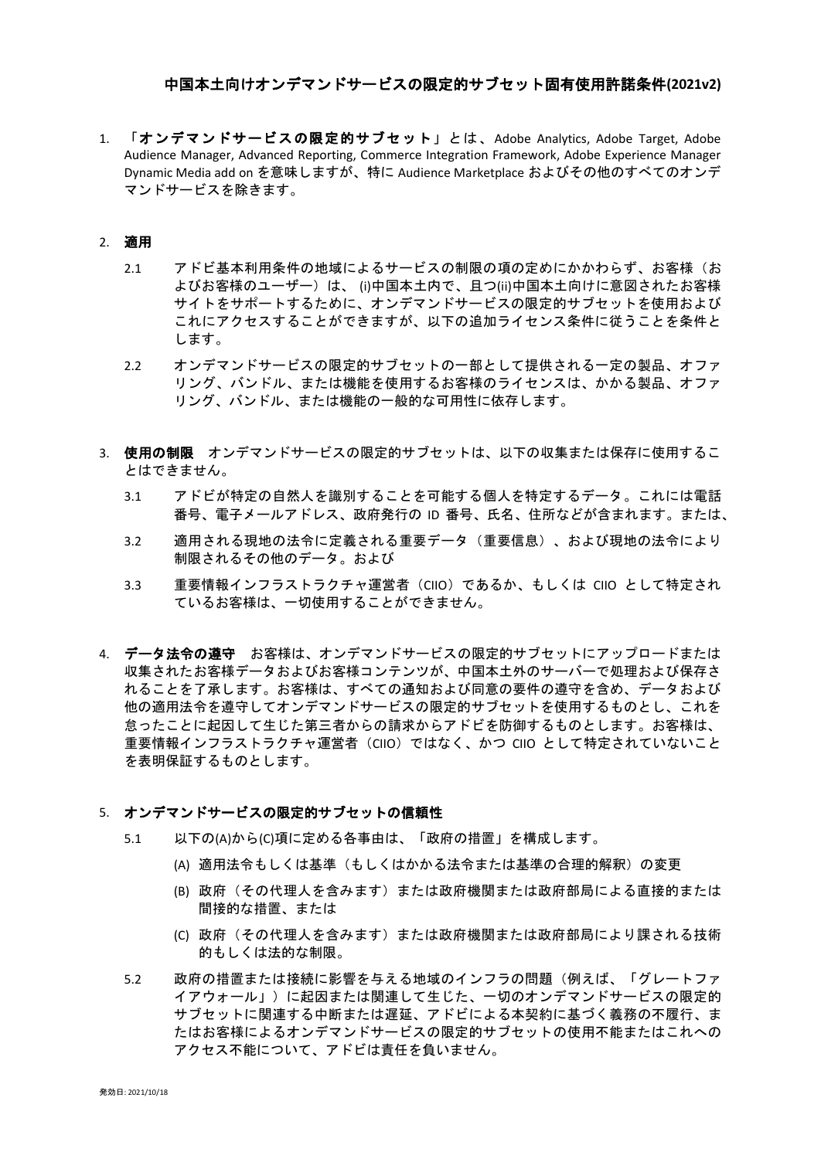# 中国本土向けオンデマンドサービスの限定的サブセット固有使用許諾条件**(2021v2)**

1. 「オンデマンドサービスの限定的サブセット」とは、Adobe Analytics, Adobe Target, Adobe Audience Manager, Advanced Reporting, Commerce Integration Framework, Adobe Experience Manager Dynamic Media add on を意味しますが、特に Audience Marketplace およびその他のすべてのオンデ マンドサービスを除きます。

#### 2. 適用

- 2.1 アドビ基本利用条件の地域によるサービスの制限の項の定めにかかわらず、お客様(お よびお客様のユーザー)は、 (i)中国本土内で、且つ(ii)中国本土向けに意図されたお客様 サイトをサポートするために、オンデマンドサービスの限定的サブセットを使用および これにアクセスすることができますが、以下の追加ライセンス条件に従うことを条件と します。
- 2.2 オンデマンドサービスの限定的サブセットの一部として提供される一定の製品、オファ リング、バンドル、または機能を使用するお客様のライセンスは、かかる製品、オファ リング、バンドル、または機能の一般的な可用性に依存します。
- 3. 使用の制限 オンデマンドサービスの限定的サブセットは、以下の収集または保存に使用するこ とはできません。
	- 3.1 アドビが特定の自然人を識別することを可能する個人を特定するデータ。これには電話 番号、電子メールアドレス、政府発行の ID 番号、氏名、住所などが含まれます。または、
	- 3.2 適用される現地の法令に定義される重要データ(重要信息)、および現地の法令により 制限されるその他のデータ。および
	- 3.3 重要情報インフラストラクチャ運営者(CIIO)であるか、もしくは CIIO として特定され ているお客様は、一切使用することができません。
- 4. データ法令の遵守 お客様は、オンデマンドサービスの限定的サブセットにアップロードまたは 収集されたお客様データおよびお客様コンテンツが、中国本土外のサーバーで処理および保存さ れることを了承します。お客様は、すべての通知および同意の要件の遵守を含め、データおよび 他の適用法令を遵守してオンデマンドサービスの限定的サブセットを使用するものとし、これを 怠ったことに起因して生じた第三者からの請求からアドビを防御するものとします。お客様は、 重要情報インフラストラクチャ運営者(CIIO)ではなく、かつ CIIO として特定されていないこと を表明保証するものとします。

### 5. オンデマンドサービスの限定的サブセットの信頼性

- 5.1 以下の(A)から(C)項に定める各事由は、「政府の措置」を構成します。
	- (A) 適用法令もしくは基準(もしくはかかる法令または基準の合理的解釈)の変更
	- (B) 政府(その代理人を含みます)または政府機関または政府部局による直接的または 間接的な措置、または
	- (C) 政府(その代理人を含みます)または政府機関または政府部局により課される技術 的もしくは法的な制限。
- 5.2 政府の措置または接続に影響を与える地域のインフラの問題(例えば、「グレートファ イアウォール」)に起因または関連して生じた、一切のオンデマンドサービスの限定的 サブセットに関連する中断または遅延、アドビによる本契約に基づく義務の不履行、ま たはお客様によるオンデマンドサービスの限定的サブセットの使用不能またはこれへの アクセス不能について、アドビは責任を負いません。